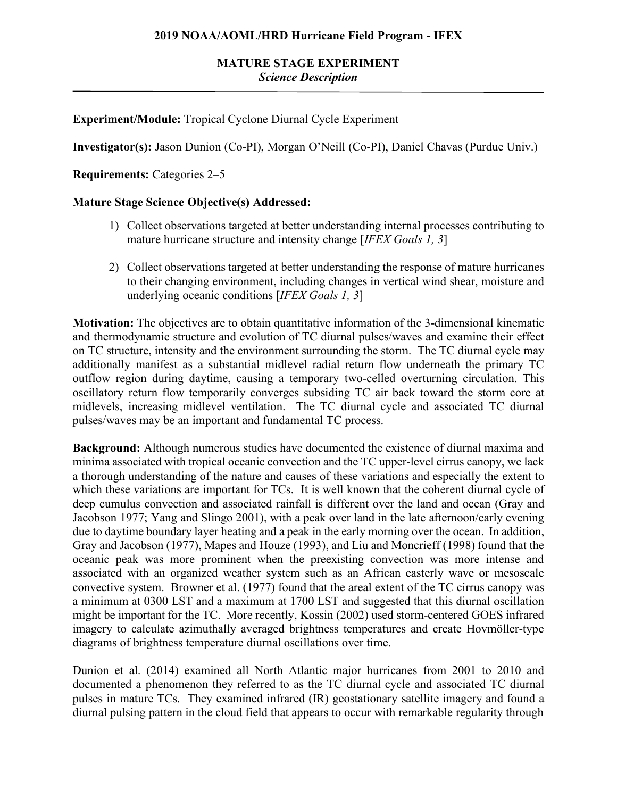## **MATURE STAGE EXPERIMENT** *Science Description*

## **Experiment/Module:** Tropical Cyclone Diurnal Cycle Experiment

**Investigator(s):** Jason Dunion (Co-PI), Morgan O'Neill (Co-PI), Daniel Chavas (Purdue Univ.)

**Requirements:** Categories 2–5

### **Mature Stage Science Objective(s) Addressed:**

- 1) Collect observations targeted at better understanding internal processes contributing to mature hurricane structure and intensity change [*IFEX Goals 1, 3*]
- 2) Collect observations targeted at better understanding the response of mature hurricanes to their changing environment, including changes in vertical wind shear, moisture and underlying oceanic conditions [*IFEX Goals 1, 3*]

**Motivation:** The objectives are to obtain quantitative information of the 3-dimensional kinematic and thermodynamic structure and evolution of TC diurnal pulses/waves and examine their effect on TC structure, intensity and the environment surrounding the storm. The TC diurnal cycle may additionally manifest as a substantial midlevel radial return flow underneath the primary TC outflow region during daytime, causing a temporary two-celled overturning circulation. This oscillatory return flow temporarily converges subsiding TC air back toward the storm core at midlevels, increasing midlevel ventilation. The TC diurnal cycle and associated TC diurnal pulses/waves may be an important and fundamental TC process.

**Background:** Although numerous studies have documented the existence of diurnal maxima and minima associated with tropical oceanic convection and the TC upper-level cirrus canopy, we lack a thorough understanding of the nature and causes of these variations and especially the extent to which these variations are important for TCs. It is well known that the coherent diurnal cycle of deep cumulus convection and associated rainfall is different over the land and ocean (Gray and Jacobson 1977; Yang and Slingo 2001), with a peak over land in the late afternoon/early evening due to daytime boundary layer heating and a peak in the early morning over the ocean. In addition, Gray and Jacobson (1977), Mapes and Houze (1993), and Liu and Moncrieff (1998) found that the oceanic peak was more prominent when the preexisting convection was more intense and associated with an organized weather system such as an African easterly wave or mesoscale convective system. Browner et al. (1977) found that the areal extent of the TC cirrus canopy was a minimum at 0300 LST and a maximum at 1700 LST and suggested that this diurnal oscillation might be important for the TC. More recently, Kossin (2002) used storm-centered GOES infrared imagery to calculate azimuthally averaged brightness temperatures and create Hovmöller-type diagrams of brightness temperature diurnal oscillations over time.

Dunion et al. (2014) examined all North Atlantic major hurricanes from 2001 to 2010 and documented a phenomenon they referred to as the TC diurnal cycle and associated TC diurnal pulses in mature TCs. They examined infrared (IR) geostationary satellite imagery and found a diurnal pulsing pattern in the cloud field that appears to occur with remarkable regularity through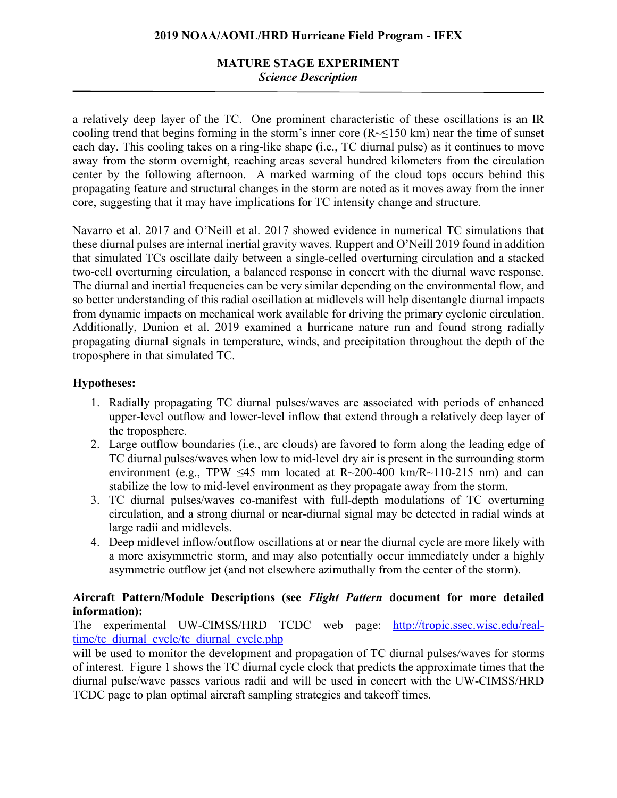# **MATURE STAGE EXPERIMENT** *Science Description*

a relatively deep layer of the TC. One prominent characteristic of these oscillations is an IR cooling trend that begins forming in the storm's inner core  $(R \le 150 \text{ km})$  near the time of sunset each day. This cooling takes on a ring-like shape (i.e., TC diurnal pulse) as it continues to move away from the storm overnight, reaching areas several hundred kilometers from the circulation center by the following afternoon. A marked warming of the cloud tops occurs behind this propagating feature and structural changes in the storm are noted as it moves away from the inner core, suggesting that it may have implications for TC intensity change and structure.

Navarro et al. 2017 and O'Neill et al. 2017 showed evidence in numerical TC simulations that these diurnal pulses are internal inertial gravity waves. Ruppert and O'Neill 2019 found in addition that simulated TCs oscillate daily between a single-celled overturning circulation and a stacked two-cell overturning circulation, a balanced response in concert with the diurnal wave response. The diurnal and inertial frequencies can be very similar depending on the environmental flow, and so better understanding of this radial oscillation at midlevels will help disentangle diurnal impacts from dynamic impacts on mechanical work available for driving the primary cyclonic circulation. Additionally, Dunion et al. 2019 examined a hurricane nature run and found strong radially propagating diurnal signals in temperature, winds, and precipitation throughout the depth of the troposphere in that simulated TC.

## **Hypotheses:**

- 1. Radially propagating TC diurnal pulses/waves are associated with periods of enhanced upper-level outflow and lower-level inflow that extend through a relatively deep layer of the troposphere.
- 2. Large outflow boundaries (i.e., arc clouds) are favored to form along the leading edge of TC diurnal pulses/waves when low to mid-level dry air is present in the surrounding storm environment (e.g., TPW  $\leq 45$  mm located at R $\sim 200-400$  km/R $\sim 110-215$  nm) and can stabilize the low to mid-level environment as they propagate away from the storm.
- 3. TC diurnal pulses/waves co-manifest with full-depth modulations of TC overturning circulation, and a strong diurnal or near-diurnal signal may be detected in radial winds at large radii and midlevels.
- 4. Deep midlevel inflow/outflow oscillations at or near the diurnal cycle are more likely with a more axisymmetric storm, and may also potentially occur immediately under a highly asymmetric outflow jet (and not elsewhere azimuthally from the center of the storm).

## **Aircraft Pattern/Module Descriptions (see** *Flight Pattern* **document for more detailed information):**

The experimental UW-CIMSS/HRD TCDC web page: http://tropic.ssec.wisc.edu/realtime/tc\_diurnal\_cycle/tc\_diurnal\_cycle.php

will be used to monitor the development and propagation of TC diurnal pulses/waves for storms of interest. Figure 1 shows the TC diurnal cycle clock that predicts the approximate times that the diurnal pulse/wave passes various radii and will be used in concert with the UW-CIMSS/HRD TCDC page to plan optimal aircraft sampling strategies and takeoff times.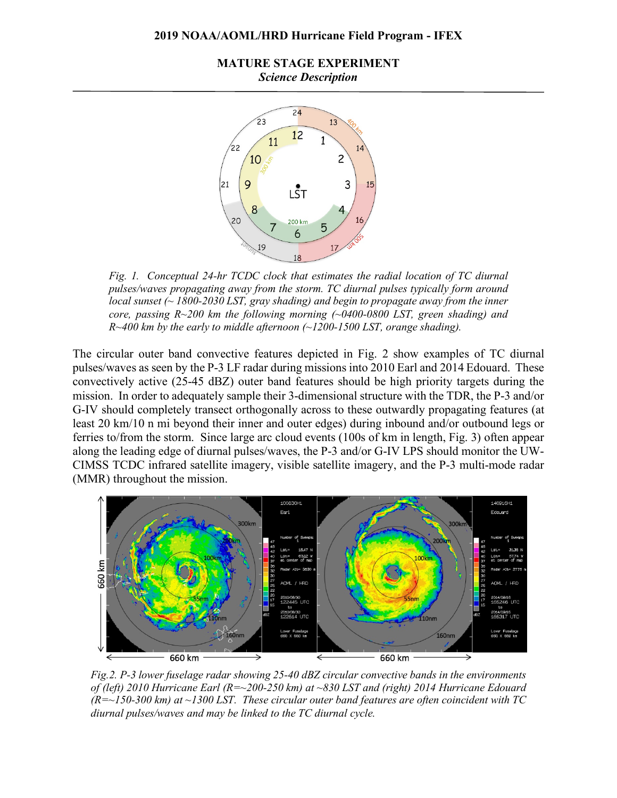**MATURE STAGE EXPERIMENT** *Science Description*



*Fig. 1. Conceptual 24-hr TCDC clock that estimates the radial location of TC diurnal pulses/waves propagating away from the storm. TC diurnal pulses typically form around local sunset (~ 1800-2030 LST, gray shading) and begin to propagate away from the inner core, passing R~200 km the following morning (~0400-0800 LST, green shading) and R~400 km by the early to middle afternoon (~1200-1500 LST, orange shading).* 

The circular outer band convective features depicted in Fig. 2 show examples of TC diurnal pulses/waves as seen by the P-3 LF radar during missions into 2010 Earl and 2014 Edouard. These convectively active (25-45 dBZ) outer band features should be high priority targets during the mission. In order to adequately sample their 3-dimensional structure with the TDR, the P-3 and/or G-IV should completely transect orthogonally across to these outwardly propagating features (at least 20 km/10 n mi beyond their inner and outer edges) during inbound and/or outbound legs or ferries to/from the storm. Since large arc cloud events (100s of km in length, Fig. 3) often appear along the leading edge of diurnal pulses/waves, the P-3 and/or G-IV LPS should monitor the UW-CIMSS TCDC infrared satellite imagery, visible satellite imagery, and the P-3 multi-mode radar (MMR) throughout the mission.



*Fig.2. P-3 lower fuselage radar showing 25-40 dBZ circular convective bands in the environments of (left) 2010 Hurricane Earl (R=~200-250 km) at ~830 LST and (right) 2014 Hurricane Edouard (R=~150-300 km) at ~1300 LST. These circular outer band features are often coincident with TC diurnal pulses/waves and may be linked to the TC diurnal cycle.*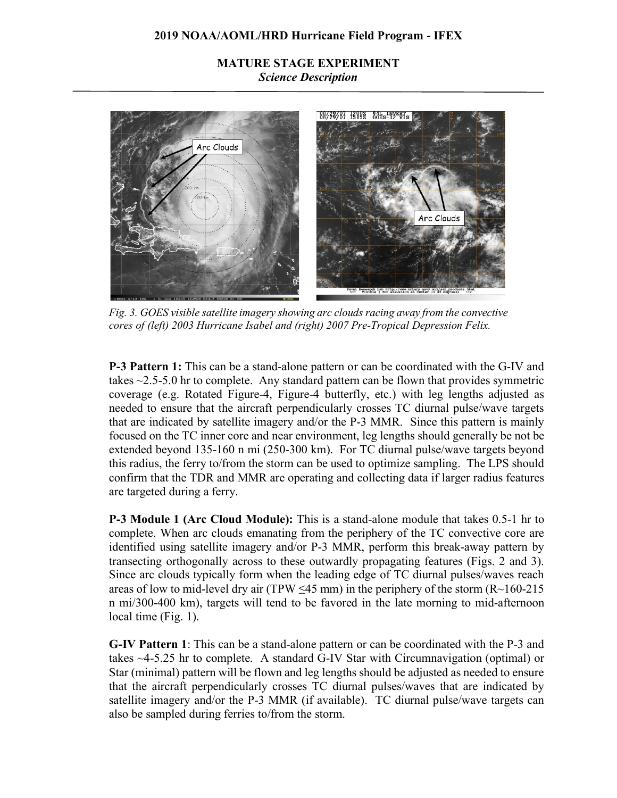## **MATURE STAGE EXPERIMENT** *Science Description*



*Fig. 3. GOES visible satellite imagery showing arc clouds racing away from the convective cores of (left) 2003 Hurricane Isabel and (right) 2007 Pre-Tropical Depression Felix.*

**P-3 Pattern 1:** This can be a stand-alone pattern or can be coordinated with the G-IV and takes ~2.5-5.0 hr to complete. Any standard pattern can be flown that provides symmetric coverage (e.g. Rotated Figure-4, Figure-4 butterfly, etc.) with leg lengths adjusted as needed to ensure that the aircraft perpendicularly crosses TC diurnal pulse/wave targets that are indicated by satellite imagery and/or the P-3 MMR. Since this pattern is mainly focused on the TC inner core and near environment, leg lengths should generally be not be extended beyond 135-160 n mi (250-300 km). For TC diurnal pulse/wave targets beyond this radius, the ferry to/from the storm can be used to optimize sampling. The LPS should confirm that the TDR and MMR are operating and collecting data if larger radius features are targeted during a ferry.

**P-3 Module 1 (Arc Cloud Module):** This is a stand-alone module that takes 0.5-1 hr to complete. When arc clouds emanating from the periphery of the TC convective core are identified using satellite imagery and/or P-3 MMR, perform this break-away pattern by transecting orthogonally across to these outwardly propagating features (Figs. 2 and 3). Since arc clouds typically form when the leading edge of TC diurnal pulses/waves reach areas of low to mid-level dry air (TPW  $\leq$ 45 mm) in the periphery of the storm (R $\sim$ 160-215 n mi/300-400 km), targets will tend to be favored in the late morning to mid-afternoon local time (Fig. 1).

**G-IV Pattern 1**: This can be a stand-alone pattern or can be coordinated with the P-3 and takes ~4-5.25 hr to complete. A standard G-IV Star with Circumnavigation (optimal) or Star (minimal) pattern will be flown and leg lengths should be adjusted as needed to ensure that the aircraft perpendicularly crosses TC diurnal pulses/waves that are indicated by satellite imagery and/or the P-3 MMR (if available). TC diurnal pulse/wave targets can also be sampled during ferries to/from the storm.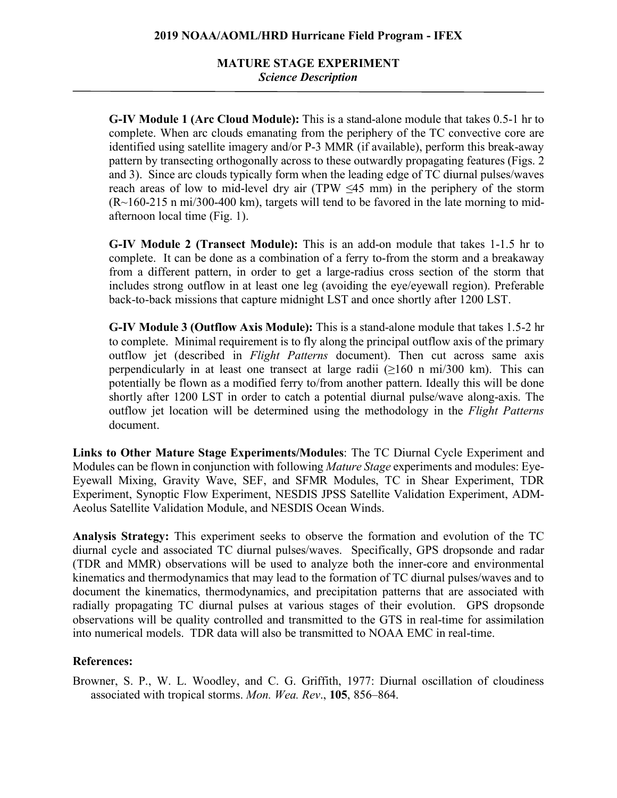# **MATURE STAGE EXPERIMENT** *Science Description*

**G-IV Module 1 (Arc Cloud Module):** This is a stand-alone module that takes 0.5-1 hr to complete. When arc clouds emanating from the periphery of the TC convective core are identified using satellite imagery and/or P-3 MMR (if available), perform this break-away pattern by transecting orthogonally across to these outwardly propagating features (Figs. 2 and 3). Since arc clouds typically form when the leading edge of TC diurnal pulses/waves reach areas of low to mid-level dry air (TPW  $\leq 45$  mm) in the periphery of the storm  $(R~160-215 \text{ n m}$  mi/300-400 km), targets will tend to be favored in the late morning to midafternoon local time (Fig. 1).

**G-IV Module 2 (Transect Module):** This is an add-on module that takes 1-1.5 hr to complete. It can be done as a combination of a ferry to-from the storm and a breakaway from a different pattern, in order to get a large-radius cross section of the storm that includes strong outflow in at least one leg (avoiding the eye/eyewall region). Preferable back-to-back missions that capture midnight LST and once shortly after 1200 LST.

**G-IV Module 3 (Outflow Axis Module):** This is a stand-alone module that takes 1.5-2 hr to complete. Minimal requirement is to fly along the principal outflow axis of the primary outflow jet (described in *Flight Patterns* document). Then cut across same axis perpendicularly in at least one transect at large radii  $(\geq 160 \text{ n mi}/300 \text{ km})$ . This can potentially be flown as a modified ferry to/from another pattern. Ideally this will be done shortly after 1200 LST in order to catch a potential diurnal pulse/wave along-axis. The outflow jet location will be determined using the methodology in the *Flight Patterns* document.

**Links to Other Mature Stage Experiments/Modules**: The TC Diurnal Cycle Experiment and Modules can be flown in conjunction with following *Mature Stage* experiments and modules: Eye-Eyewall Mixing, Gravity Wave, SEF, and SFMR Modules, TC in Shear Experiment, TDR Experiment, Synoptic Flow Experiment, NESDIS JPSS Satellite Validation Experiment, ADM-Aeolus Satellite Validation Module, and NESDIS Ocean Winds.

**Analysis Strategy:** This experiment seeks to observe the formation and evolution of the TC diurnal cycle and associated TC diurnal pulses/waves. Specifically, GPS dropsonde and radar (TDR and MMR) observations will be used to analyze both the inner-core and environmental kinematics and thermodynamics that may lead to the formation of TC diurnal pulses/waves and to document the kinematics, thermodynamics, and precipitation patterns that are associated with radially propagating TC diurnal pulses at various stages of their evolution. GPS dropsonde observations will be quality controlled and transmitted to the GTS in real-time for assimilation into numerical models. TDR data will also be transmitted to NOAA EMC in real-time.

## **References:**

Browner, S. P., W. L. Woodley, and C. G. Griffith, 1977: Diurnal oscillation of cloudiness associated with tropical storms. *Mon. Wea. Rev*., **105**, 856–864.